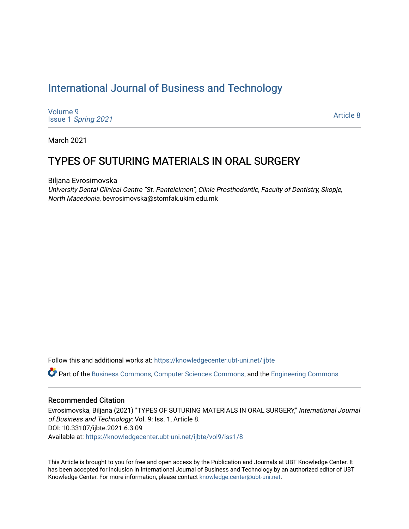# [International Journal of Business and Technology](https://knowledgecenter.ubt-uni.net/ijbte)

[Volume 9](https://knowledgecenter.ubt-uni.net/ijbte/vol9) Issue 1 [Spring 2021](https://knowledgecenter.ubt-uni.net/ijbte/vol9/iss1) 

[Article 8](https://knowledgecenter.ubt-uni.net/ijbte/vol9/iss1/8) 

March 2021

## TYPES OF SUTURING MATERIALS IN ORAL SURGERY

Biljana Evrosimovska

University Dental Clinical Centre "St. Panteleimon", Clinic Prosthodontic, Faculty of Dentistry, Skopje, North Macedonia, bevrosimovska@stomfak.ukim.edu.mk

Follow this and additional works at: [https://knowledgecenter.ubt-uni.net/ijbte](https://knowledgecenter.ubt-uni.net/ijbte?utm_source=knowledgecenter.ubt-uni.net%2Fijbte%2Fvol9%2Fiss1%2F8&utm_medium=PDF&utm_campaign=PDFCoverPages) 

Part of the [Business Commons](https://network.bepress.com/hgg/discipline/622?utm_source=knowledgecenter.ubt-uni.net%2Fijbte%2Fvol9%2Fiss1%2F8&utm_medium=PDF&utm_campaign=PDFCoverPages), [Computer Sciences Commons,](https://network.bepress.com/hgg/discipline/142?utm_source=knowledgecenter.ubt-uni.net%2Fijbte%2Fvol9%2Fiss1%2F8&utm_medium=PDF&utm_campaign=PDFCoverPages) and the [Engineering Commons](https://network.bepress.com/hgg/discipline/217?utm_source=knowledgecenter.ubt-uni.net%2Fijbte%2Fvol9%2Fiss1%2F8&utm_medium=PDF&utm_campaign=PDFCoverPages) 

#### Recommended Citation

Evrosimovska, Biljana (2021) "TYPES OF SUTURING MATERIALS IN ORAL SURGERY," International Journal of Business and Technology: Vol. 9: Iss. 1, Article 8. DOI: 10.33107/ijbte.2021.6.3.09 Available at: [https://knowledgecenter.ubt-uni.net/ijbte/vol9/iss1/8](https://knowledgecenter.ubt-uni.net/ijbte/vol9/iss1/8?utm_source=knowledgecenter.ubt-uni.net%2Fijbte%2Fvol9%2Fiss1%2F8&utm_medium=PDF&utm_campaign=PDFCoverPages) 

This Article is brought to you for free and open access by the Publication and Journals at UBT Knowledge Center. It has been accepted for inclusion in International Journal of Business and Technology by an authorized editor of UBT Knowledge Center. For more information, please contact [knowledge.center@ubt-uni.net](mailto:knowledge.center@ubt-uni.net).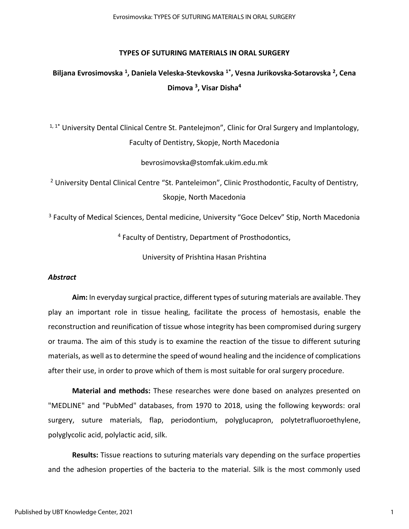#### **TYPES OF SUTURING MATERIALS IN ORAL SURGERY**

# **Biljana Evrosimovska <sup>1</sup> , Daniela Veleska-Stevkovska 1\*, Vesna Jurikovska-Sotarovska <sup>2</sup> , Cena Dimova <sup>3</sup> , Visar Disha<sup>4</sup>**

 $1, 1^*$  University Dental Clinical Centre St. Pantelejmon", Clinic for Oral Surgery and Implantology, Faculty of Dentistry, Skopje, North Macedonia

bevrosimovska@stomfak.ukim.edu.mk

<sup>2</sup> University Dental Clinical Centre "St. Panteleimon", Clinic Prosthodontic, Faculty of Dentistry, Skopje, North Macedonia

<sup>3</sup> Faculty of Medical Sciences, Dental medicine, University "Goce Delcev" Stip, North Macedonia

<sup>4</sup> Faculty of Dentistry, Department of Prosthodontics,

University of Prishtina Hasan Prishtina

#### *Abstract*

**Aim:** In everyday surgical practice, different types of suturing materials are available. They play an important role in tissue healing, facilitate the process of hemostasis, enable the reconstruction and reunification of tissue whose integrity has been compromised during surgery or trauma. The aim of this study is to examine the reaction of the tissue to different suturing materials, as well as to determine the speed of wound healing and the incidence of complications after their use, in order to prove which of them is most suitable for oral surgery procedure.

**Material and methods:** These researches were done based on analyzes presented on "MEDLINE" and "PubMed" databases, from 1970 to 2018, using the following keywords: oral surgery, suture materials, flap, periodontium, polyglucapron, polytetrafluoroethylene, polyglycolic acid, polylactic acid, silk.

**Results:** Tissue reactions to suturing materials vary depending on the surface properties and the adhesion properties of the bacteria to the material. Silk is the most commonly used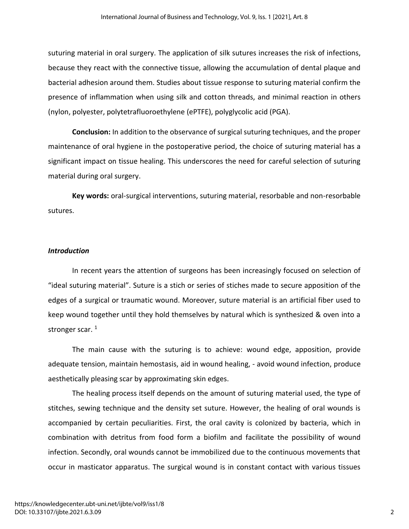suturing material in oral surgery. The application of silk sutures increases the risk of infections, because they react with the connective tissue, allowing the accumulation of dental plaque and bacterial adhesion around them. Studies about tissue response to suturing material confirm the presence of inflammation when using silk and cotton threads, and minimal reaction in others (nylon, polyester, polytetrafluoroethylene (ePTFE), polyglycolic acid (PGA).

**Conclusion:** In addition to the observance of surgical suturing techniques, and the proper maintenance of oral hygiene in the postoperative period, the choice of suturing material has a significant impact on tissue healing. This underscores the need for careful selection of suturing material during oral surgery.

**Key words:** oral-surgical interventions, suturing material, resorbable and non-resorbable sutures.

### *Introduction*

In recent years the attention of surgeons has been increasingly focused on selection of "ideal suturing material". Suture is a stich or series of stiches made to secure apposition of the edges of a surgical or traumatic wound. Moreover, suture material is an artificial fiber used to keep wound together until they hold themselves by natural which is synthesized & oven into a stronger scar.<sup>1</sup>

The main cause with the suturing is to achieve: wound edge, apposition, provide adequate tension, maintain hemostasis, aid in wound healing, - avoid wound infection, produce aesthetically pleasing scar by approximating skin edges.

The healing process itself depends on the amount of suturing material used, the type of stitches, sewing technique and the density set suture. However, the healing of oral wounds is accompanied by certain peculiarities. First, the oral cavity is colonized by bacteria, which in combination with detritus from food form a biofilm and facilitate the possibility of wound infection. Secondly, oral wounds cannot be immobilized due to the continuous movements that occur in masticator apparatus. The surgical wound is in constant contact with various tissues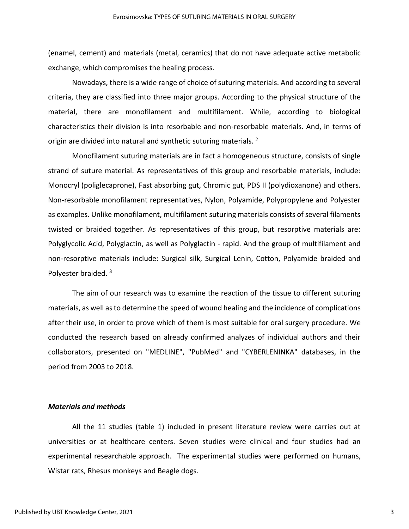(enamel, cement) and materials (metal, ceramics) that do not have adequate active metabolic exchange, which compromises the healing process.

Nowadays, there is a wide range of choice of suturing materials. And according to several criteria, they are classified into three major groups. According to the physical structure of the material, there are monofilament and multifilament. While, according to biological characteristics their division is into resorbable and non-resorbable materials. And, in terms of origin are divided into natural and synthetic suturing materials.  $^2$ 

Monofilament suturing materials are in fact a homogeneous structure, consists of single strand of suture material. As representatives of this group and resorbable materials, include: Monocryl (poliglecaprone), Fast absorbing gut, Chromic gut, PDS II (polydioxanone) and others. Non-resorbable monofilament representatives, Nylon, Polyamide, Polypropylene and Polyester as examples. Unlike monofilament, multifilament suturing materials consists of several filaments twisted or braided together. As representatives of this group, but resorptive materials are: Polyglycolic Acid, Polyglactin, as well as Polyglactin - rapid. And the group of multifilament and non-resorptive materials include: Surgical silk, Surgical Lenin, Cotton, Polyamide braided and Polyester braided.<sup>3</sup>

The aim of our research was to examine the reaction of the tissue to different suturing materials, as well as to determine the speed of wound healing and the incidence of complications after their use, in order to prove which of them is most suitable for oral surgery procedure. We conducted the research based on already confirmed analyzes of individual authors and their collaborators, presented on "MEDLINE", "PubMed" and "CYBERLENINKA" databases, in the period from 2003 to 2018.

#### *Materials and methods*

All the 11 studies (table 1) included in present literature review were carries out at universities or at healthcare centers. Seven studies were clinical and four studies had an experimental researchable approach. The experimental studies were performed on humans, Wistar rats, Rhesus monkeys and Beagle dogs.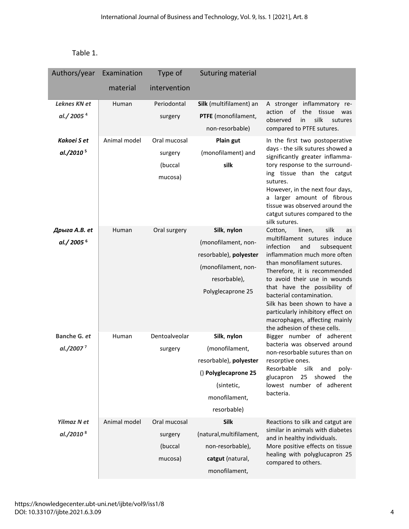| able: |  |
|-------|--|
|-------|--|

| Authors/year          | Examination  | Type of       | Suturing material        |                                                                                                                                                                                                 |
|-----------------------|--------------|---------------|--------------------------|-------------------------------------------------------------------------------------------------------------------------------------------------------------------------------------------------|
|                       | material     | intervention  |                          |                                                                                                                                                                                                 |
| Leknes KN et          | Human        | Periodontal   | Silk (multifilament) an  | A stronger inflammatory re-                                                                                                                                                                     |
| al./2005 <sup>4</sup> |              | surgery       | PTFE (monofilament,      | of<br>the<br>tissue<br>action<br>was<br>silk<br>observed<br>in<br>sutures                                                                                                                       |
|                       |              |               | non-resorbable)          | compared to PTFE sutures.                                                                                                                                                                       |
| Kakoei S et           | Animal model | Oral mucosal  | Plain gut                | In the first two postoperative                                                                                                                                                                  |
| al./2010 <sup>5</sup> |              | surgery       | (monofilament) and       | days - the silk sutures showed a<br>significantly greater inflamma-                                                                                                                             |
|                       |              | (buccal       | silk                     | tory response to the surround-                                                                                                                                                                  |
|                       |              | mucosa)       |                          | ing tissue than the catgut<br>sutures.<br>However, in the next four days,<br>a larger amount of fibrous<br>tissue was observed around the<br>catgut sutures compared to the<br>silk sutures.    |
| Дрыга A.B. et         | Human        | Oral surgery  | Silk, nylon              | silk<br>Cotton,<br>linen,<br>as                                                                                                                                                                 |
| al./2005 <sup>6</sup> |              |               | (monofilament, non-      | multifilament sutures induce<br>infection<br>and<br>subsequent                                                                                                                                  |
|                       |              |               | resorbable), polyester   | inflammation much more often                                                                                                                                                                    |
|                       |              |               | (monofilament, non-      | than monofilament sutures.<br>Therefore, it is recommended                                                                                                                                      |
|                       |              |               | resorbable),             | to avoid their use in wounds                                                                                                                                                                    |
|                       |              |               | Polyglecaprone 25        | that have the possibility of<br>bacterial contamination.<br>Silk has been shown to have a<br>particularly inhibitory effect on<br>macrophages, affecting mainly<br>the adhesion of these cells. |
| Banche G. et          | Human        | Dentoalveolar | Silk, nylon              | Bigger number of adherent                                                                                                                                                                       |
| al./2007 <sup>7</sup> |              | surgery       | (monofilament,           | bacteria was observed around<br>non-resorbable sutures than on                                                                                                                                  |
|                       |              |               | resorbable), polyester   | resorptive ones.<br>and                                                                                                                                                                         |
|                       |              |               | () Polyglecaprone 25     | Resorbable<br>silk<br>poly-<br>glucapron<br>25<br>showed<br>the                                                                                                                                 |
|                       |              |               | (sintetic,               | lowest number of adherent                                                                                                                                                                       |
|                       |              |               | monofilament,            | bacteria.                                                                                                                                                                                       |
|                       |              |               | resorbable)              |                                                                                                                                                                                                 |
| Yilmaz N et           | Animal model | Oral mucosal  | <b>Silk</b>              | Reactions to silk and catgut are<br>similar in animals with diabetes                                                                                                                            |
| al./2010 <sup>8</sup> |              | surgery       | (natural, multifilament, | and in healthy individuals.                                                                                                                                                                     |
|                       |              | (buccal       | non-resorbable),         | More positive effects on tissue                                                                                                                                                                 |
|                       |              | mucosa)       | catgut (natural,         | healing with polyglucapron 25<br>compared to others.                                                                                                                                            |
|                       |              |               | monofilament,            |                                                                                                                                                                                                 |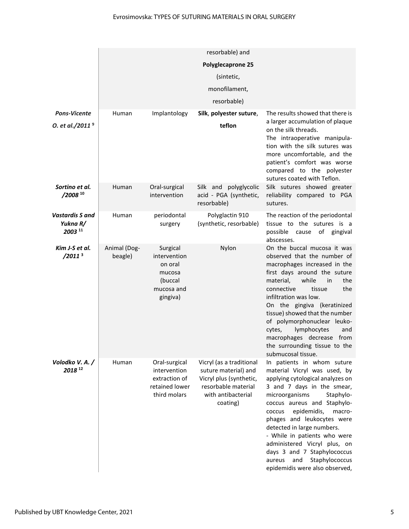|                                                          |                         |                                                                                    | resorbable) and                                                                                                                      |                                                                                                                                                                                                                                                                                                                                                                                                                                                               |
|----------------------------------------------------------|-------------------------|------------------------------------------------------------------------------------|--------------------------------------------------------------------------------------------------------------------------------------|---------------------------------------------------------------------------------------------------------------------------------------------------------------------------------------------------------------------------------------------------------------------------------------------------------------------------------------------------------------------------------------------------------------------------------------------------------------|
|                                                          | Polyglecaprone 25       |                                                                                    |                                                                                                                                      |                                                                                                                                                                                                                                                                                                                                                                                                                                                               |
|                                                          | (sintetic,              |                                                                                    |                                                                                                                                      |                                                                                                                                                                                                                                                                                                                                                                                                                                                               |
|                                                          | monofilament,           |                                                                                    |                                                                                                                                      |                                                                                                                                                                                                                                                                                                                                                                                                                                                               |
|                                                          |                         |                                                                                    | resorbable)                                                                                                                          |                                                                                                                                                                                                                                                                                                                                                                                                                                                               |
| <b>Pons-Vicente</b>                                      | Human                   | Implantology                                                                       | Silk, polyester suture,                                                                                                              | The results showed that there is                                                                                                                                                                                                                                                                                                                                                                                                                              |
| O. et al./2011 <sup>9</sup>                              |                         |                                                                                    | teflon                                                                                                                               | a larger accumulation of plaque<br>on the silk threads.<br>The intraoperative manipula-<br>tion with the silk sutures was<br>more uncomfortable, and the<br>patient's comfort was worse<br>compared to the polyester<br>sutures coated with Teflon.                                                                                                                                                                                                           |
| Sortino et al.<br>$/2008^{10}$                           | Human                   | Oral-surgical<br>intervention                                                      | Silk and polyglycolic<br>acid - PGA (synthetic,<br>resorbable)                                                                       | Silk sutures showed greater<br>reliability compared to PGA<br>sutures.                                                                                                                                                                                                                                                                                                                                                                                        |
| <b>Vastardis S and</b><br>Yukna R/<br>2003 <sup>11</sup> | Human                   | periodontal<br>surgery                                                             | Polyglactin 910<br>(synthetic, resorbable)                                                                                           | The reaction of the periodontal<br>tissue to the sutures is a<br>possible cause of gingival<br>abscesses.                                                                                                                                                                                                                                                                                                                                                     |
| Kim J-S et al.<br>/2011 <sup>3</sup>                     | Animal (Dog-<br>beagle) | Surgical<br>intervention<br>on oral<br>mucosa<br>(buccal<br>mucosa and<br>gingiva) | Nylon                                                                                                                                | On the buccal mucosa it was<br>observed that the number of<br>macrophages increased in the<br>first days around the suture<br>material,<br>while<br>the<br>in<br>connective<br>the<br>tissue<br>infiltration was low.<br>On the gingiva (keratinized<br>tissue) showed that the number<br>of polymorphonuclear leuko-<br>lymphocytes<br>cytes,<br>and<br>macrophages decrease from<br>the surrounding tissue to the<br>submucosal tissue.                     |
| Volodko V. A. /<br>2018 12                               | Human                   | Oral-surgical<br>intervention<br>extraction of<br>retained lower<br>third molars   | Vicryl (as a traditional<br>suture material) and<br>Vicryl plus (synthetic,<br>resorbable material<br>with antibacterial<br>coating) | In patients in whom suture<br>material Vicryl was used, by<br>applying cytological analyzes on<br>3 and 7 days in the smear,<br>microorganisms<br>Staphylo-<br>coccus aureus and Staphylo-<br>epidemidis,<br>macro-<br>coccus<br>phages and leukocytes were<br>detected in large numbers.<br>- While in patients who were<br>administered Vicryl plus, on<br>days 3 and 7 Staphylococcus<br>Staphylococcus<br>aureus<br>and<br>epidemidis were also observed, |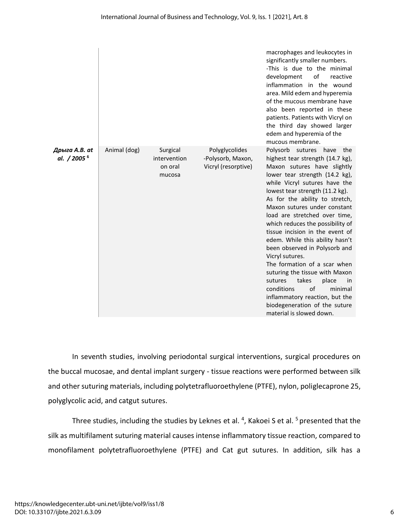|                                          |              |                                               |                                                            | macrophages and leukocytes in<br>significantly smaller numbers.<br>-This is due to the minimal<br>development<br>of<br>reactive<br>inflammation in the wound<br>area. Mild edem and hyperemia<br>of the mucous membrane have<br>also been reported in these<br>patients. Patients with Vicryl on<br>the third day showed larger<br>edem and hyperemia of the<br>mucous membrane.                                                                                                                                                                                                                                                                                                                             |
|------------------------------------------|--------------|-----------------------------------------------|------------------------------------------------------------|--------------------------------------------------------------------------------------------------------------------------------------------------------------------------------------------------------------------------------------------------------------------------------------------------------------------------------------------------------------------------------------------------------------------------------------------------------------------------------------------------------------------------------------------------------------------------------------------------------------------------------------------------------------------------------------------------------------|
| Дрыга A.B. at<br>al. / 2005 <sup>6</sup> | Animal (dog) | Surgical<br>intervention<br>on oral<br>mucosa | Polyglycolides<br>-Polysorb, Maxon,<br>Vicryl (resorptive) | Polysorb sutures<br>have<br>the<br>highest tear strength (14.7 kg),<br>Maxon sutures have slightly<br>lower tear strength (14.2 kg),<br>while Vicryl sutures have the<br>lowest tear strength (11.2 kg).<br>As for the ability to stretch,<br>Maxon sutures under constant<br>load are stretched over time,<br>which reduces the possibility of<br>tissue incision in the event of<br>edem. While this ability hasn't<br>been observed in Polysorb and<br>Vicryl sutures.<br>The formation of a scar when<br>suturing the tissue with Maxon<br>takes<br>sutures<br>place<br>in<br>of<br>minimal<br>conditions<br>inflammatory reaction, but the<br>biodegeneration of the suture<br>material is slowed down. |

In seventh studies, involving periodontal surgical interventions, surgical procedures on the buccal mucosae, and dental implant surgery - tissue reactions were performed between silk and other suturing materials, including polytetrafluoroethylene (PTFE), nylon, poliglecaprone 25, polyglycolic acid, and catgut sutures.

Three studies, including the studies by Leknes et al. <sup>4</sup>, Kakoei S et al. <sup>5</sup> presented that the silk as multifilament suturing material causes intense inflammatory tissue reaction, compared to monofilament polytetrafluoroethylene (PTFE) and Cat gut sutures. In addition, silk has a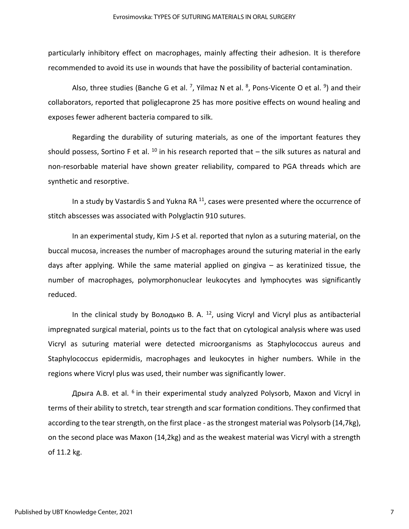particularly inhibitory effect on macrophages, mainly affecting their adhesion. It is therefore recommended to avoid its use in wounds that have the possibility of bacterial contamination.

Also, three studies (Banche G et al. <sup>7</sup>, Yilmaz N et al. <sup>8</sup>, Pons-Vicente O et al. <sup>9</sup>) and their collaborators, reported that poliglecaprone 25 has more positive effects on wound healing and exposes fewer adherent bacteria compared to silk.

Regarding the durability of suturing materials, as one of the important features they should possess, Sortino F et al.  $^{10}$  in his research reported that – the silk sutures as natural and non-resorbable material have shown greater reliability, compared to PGA threads which are synthetic and resorptive.

In a study by Vastardis S and Yukna RA $<sup>11</sup>$ , cases were presented where the occurrence of</sup> stitch abscesses was associated with Polyglactin 910 sutures.

In an experimental study, Kim J-S et al. reported that nylon as a suturing material, on the buccal mucosa, increases the number of macrophages around the suturing material in the early days after applying. While the same material applied on gingiva – as keratinized tissue, the number of macrophages, polymorphonuclear leukocytes and lymphocytes was significantly reduced.

In the clinical study by Володько В. A.  $^{12}$ , using Vicryl and Vicryl plus as antibacterial impregnated surgical material, points us to the fact that on cytological analysis where was used Vicryl as suturing material were detected microorganisms as Staphylococcus aureus and Staphylococcus epidermidis, macrophages and leukocytes in higher numbers. While in the regions where Vicryl plus was used, their number was significantly lower.

Дрыга A.B. et al. <sup>6</sup> in their experimental study analyzed Polysorb, Maxon and Vicryl in terms of their ability to stretch, tear strength and scar formation conditions. They confirmed that according to the tear strength, on the first place - as the strongest material was Polysorb (14,7kg), on the second place was Maxon (14,2kg) and as the weakest material was Vicryl with a strength of 11.2 kg.

7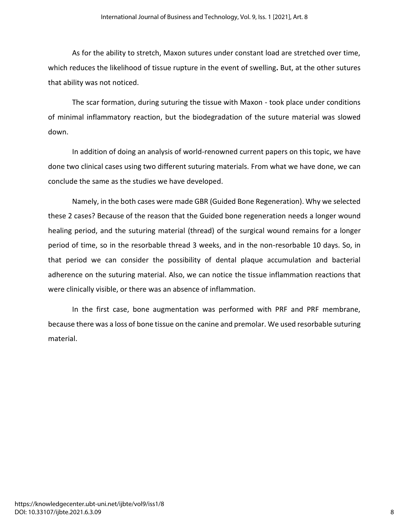As for the ability to stretch, Maxon sutures under constant load are stretched over time, which reduces the likelihood of tissue rupture in the event of swelling**.** But, at the other sutures that ability was not noticed.

The scar formation, during suturing the tissue with Maxon - took place under conditions of minimal inflammatory reaction, but the biodegradation of the suture material was slowed down.

In addition of doing an analysis of world-renowned current papers on this topic, we have done two clinical cases using two different suturing materials. From what we have done, we can conclude the same as the studies we have developed.

Namely, in the both cases were made GBR (Guided Bone Regeneration). Why we selected these 2 cases? Because of the reason that the Guided bone regeneration needs a longer wound healing period, and the suturing material (thread) of the surgical wound remains for a longer period of time, so in the resorbable thread 3 weeks, and in the non-resorbable 10 days. So, in that period we can consider the possibility of dental plaque accumulation and bacterial adherence on the suturing material. Also, we can notice the tissue inflammation reactions that were clinically visible, or there was an absence of inflammation.

In the first case, bone augmentation was performed with PRF and PRF membrane, because there was a loss of bone tissue on the canine and premolar. We used resorbable suturing material.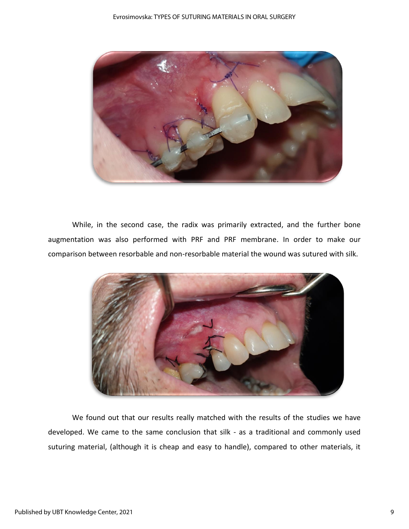

While, in the second case, the radix was primarily extracted, and the further bone augmentation was also performed with PRF and PRF membrane. In order to make our comparison between resorbable and non-resorbable material the wound was sutured with silk.



We found out that our results really matched with the results of the studies we have developed. We came to the same conclusion that silk - as a traditional and commonly used suturing material, (although it is cheap and easy to handle), compared to other materials, it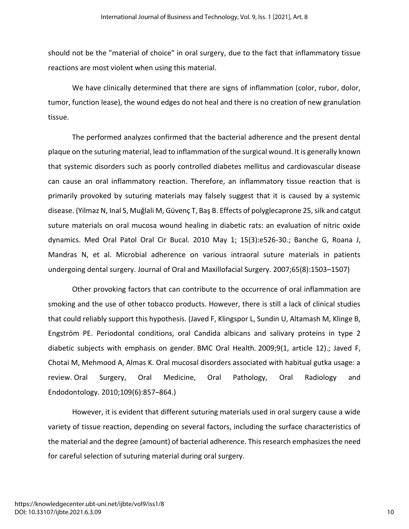should not be the "material of choice" in oral surgery, due to the fact that inflammatory tissue reactions are most violent when using this material.

We have clinically determined that there are signs of inflammation (color, rubor, dolor, tumor, function lease), the wound edges do not heal and there is no creation of new granulation tissue.

The performed analyzes confirmed that the bacterial adherence and the present dental plaque on the suturing material, lead to inflammation of the surgical wound. It is generally known that systemic disorders such as poorly controlled diabetes mellitus and cardiovascular disease can cause an oral inflammatory reaction. Therefore, an inflammatory tissue reaction that is primarily provoked by suturing materials may falsely suggest that it is caused by a systemic disease. (Yilmaz N, Inal S, Muğlali M, Güvenç T, Baş B. Effects of polyglecaprone 25, silk and catgut suture materials on oral mucosa wound healing in diabetic rats: an evaluation of nitric oxide dynamics. Med Oral Patol Oral Cir Bucal. 2010 May 1; 15(3):e526-30.; Banche G, Roana J, Mandras N, et al. Microbial adherence on various intraoral suture materials in patients undergoing dental surgery. Journal of Oral and Maxillofacial Surgery. 2007;65(8):1503–1507)

Other provoking factors that can contribute to the occurrence of oral inflammation are smoking and the use of other tobacco products. However, there is still a lack of clinical studies that could reliably support this hypothesis. (Javed F, Klingspor L, Sundin U, Altamash M, Klinge B, Engström PE. Periodontal conditions, oral Candida albicans and salivary proteins in type 2 diabetic subjects with emphasis on gender. BMC Oral Health*.* 2009;9(1, article 12).; Javed F, Chotai M, Mehmood A, Almas K. Oral mucosal disorders associated with habitual gutka usage: a review. Oral Surgery, Oral Medicine, Oral Pathology, Oral Radiology and Endodontology. 2010;109(6):857–864.)

However, it is evident that different suturing materials used in oral surgery cause a wide variety of tissue reaction, depending on several factors, including the surface characteristics of the material and the degree (amount) of bacterial adherence. This research emphasizes the need for careful selection of suturing material during oral surgery.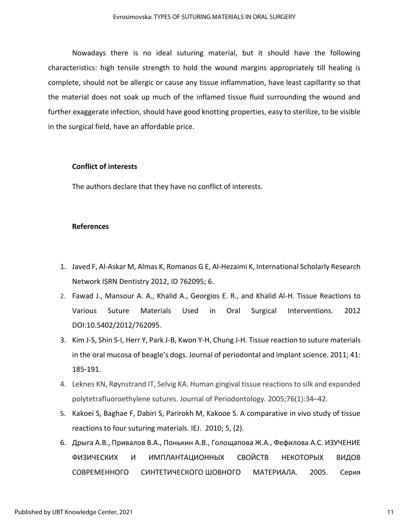Nowadays there is no ideal suturing material, but it should have the following characteristics: high tensile strength to hold the wound margins appropriately till healing is complete, should not be allergic or cause any tissue inflammation, have least capillarity so that the material does not soak up much of the inflamed tissue fluid surrounding the wound and further exaggerate infection, should have good knotting properties, easy to sterilize, to be visible in the surgical field, have an affordable price.

### **Conflict of interests**

The authors declare that they have no conflict of interests.

#### **References**

- 1. Javed F, Al-Askar M, Almas K, Romanos G E, Al-Hezaimi K, International Scholarly Research Network ISRN Dentistry 2012, ID 762095; 6.
- 2. Fawad J., Mansour A. A., Khalid A., Georgios E. R., and Khalid Al-H. Tissue Reactions to Various Suture Materials Used in Oral Surgical Interventions. 2012 DOI:10.5402/2012/762095.
- 3. Kim J-S, Shin S-I, Herr Y, Park J-B, Kwon Y-H, Chung J-H. Tissue reaction to suture materials in the oral mucosa of beagle's dogs. Journal of periodontal and implant science. 2011; 41: 185-191.
- 4. Leknes KN, Røynstrand IT, Selvig KA. Human gingival tissue reactions to silk and expanded polytetrafluoroethylene sutures. Journal of Periodontology*.* 2005;76(1):34–42.
- 5. Kakoei S, Baghae F, Dabiri S, Parirokh M, Kakooe S. A comparative in vivo study of tissue reactions to four suturing materials. IEJ. 2010; 5, (2).
- 6. Дрыга А.В., Привалов В.А., Понькин А.В., Голощапова Ж.А., Фефилова А.С. ИЗУЧЕНИЕ ФИЗИЧЕСКИХ И ИМПЛАНТАЦИОННЫХ СВОЙСТВ НЕКОТОРЫХ ВИДОВ СОВРЕМЕННОГО СИНТЕТИЧЕСКОГО ШОВНОГО МАТЕРИАЛА. 2005. Серия